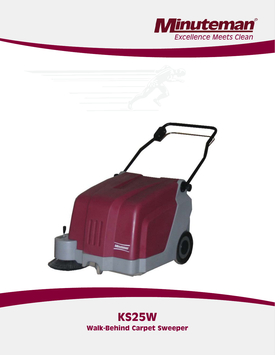



# **KS25W Walk-Behind Carpet Sweeper**